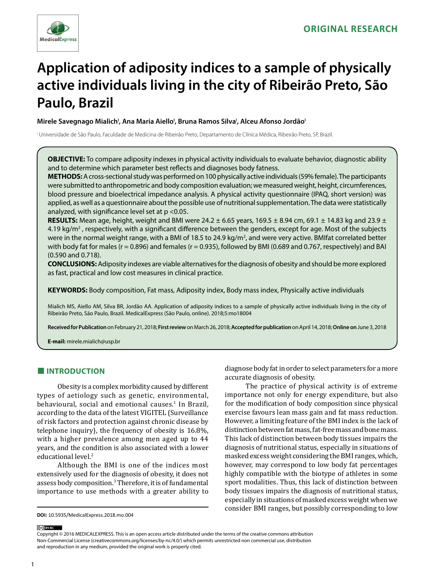

# **Application of adiposity indices to a sample of physically active individuals living in the city of Ribeirão Preto, São Paulo, Brazil**

Mirele Savegnago Mialich<sup>i</sup>, Ana Maria Aiello<sup>i</sup>, Bruna Ramos Silva<sup>i</sup>, Alceu Afonso Jordão<sup>i</sup>

I Universidade de São Paulo, Faculdade de Medicina de Ribeirão Preto, Departamento de Clínica Médica, Ribeirão Preto, SP, Brazil.

**OBJECTIVE:** To compare adiposity indexes in physical activity individuals to evaluate behavior, diagnostic ability and to determine which parameter best reflects and diagnoses body fatness.

**METHODS:** A cross-sectional study was performed on 100 physically active individuals (59% female). The participants were submitted to anthropometric and body composition evaluation; we measured weight, height, circumferences, blood pressure and bioelectrical impedance analysis. A physical activity questionnaire (IPAQ, short version) was applied, as well as a questionnaire about the possible use of nutritional supplementation. The data were statistically analyzed, with significance level set at p <0.05.

**RESULTS:** Mean age, height, weight and BMI were 24.2  $\pm$  6.65 years, 169.5  $\pm$  8.94 cm, 69.1  $\pm$  14.83 kg and 23.9  $\pm$ 4.19 kg/m<sup>2</sup>, respectively, with a significant difference between the genders, except for age. Most of the subjects were in the normal weight range, with a BMI of 18.5 to 24.9 kg/m<sup>2</sup>, and were very active. BMIfat correlated better with body fat for males ( $r = 0.896$ ) and females ( $r = 0.935$ ), followed by BMI (0.689 and 0.767, respectively) and BAI (0.590 and 0.718).

**CONCLUSIONS:** Adiposity indexes are viable alternatives for the diagnosis of obesity and should be more explored as fast, practical and low cost measures in clinical practice.

**KEYWORDS:** Body composition, Fat mass, Adiposity index, Body mass index, Physically active individuals

Mialich MS, Aiello AM, Silva BR, Jordão AA. Application of adiposity indices to a sample of physically active individuals living in the city of Ribeirão Preto, São Paulo, Brazil. MedicalExpress (São Paulo, online). 2018;5:mo18004

**Received for Publication** on February 21, 2018; **First review** on March 26, 2018; **Accepted for publication** on April 14, 2018; **Online on** June 3, 2018

**E-mail:** mirele.mialich@usp.br

## **■ INTRODUCTION**

Obesity is a complex morbidity caused by different types of aetiology such as genetic, environmental, behavioural, social and emotional causes.<sup>1</sup> In Brazil, according to the data of the latest VIGITEL (Surveillance of risk factors and protection against chronic disease by telephone inquiry), the frequency of obesity is 16.8%, with a higher prevalence among men aged up to 44 years, and the condition is also associated with a lower educational level.<sup>2</sup>

Although the BMI is one of the indices most extensively used for the diagnosis of obesity, it does not assess body composition.3 Therefore, it is of fundamental importance to use methods with a greater ability to

diagnose body fat in order to select parameters for a more accurate diagnosis of obesity.

The practice of physical activity is of extreme importance not only for energy expenditure, but also for the modification of body composition since physical exercise favours lean mass gain and fat mass reduction. However, a limiting feature of the BMI index is the lack of distinction between fat mass, fat-free mass and bone mass. This lack of distinction between body tissues impairs the diagnosis of nutritional status, especially in situations of masked excess weight considering the BMI ranges, which, however, may correspond to low body fat percentages highly compatible with the biotype of athletes in some sport modalities. Thus, this lack of distinction between body tissues impairs the diagnosis of nutritional status, especially in situations of masked excess weight when we consider BMI ranges, but possibly corresponding to low

#### (ce) BY-NC

Copyright © 2016 MEDICALEXPRESS. This is an open access article distributed under the terms of the creative commons attribution Non-Commercial License [\(creativecommons.org/licenses/by-nc/4.0/\)](http://creativecommons.org/licenses/by-nc/3.0/) which permits unrestricted non commercial use, distribution and reproduction in any medium, provided the original work is properly cited.

**DOI:** 10.5935/MedicalExpress.2018.mo.004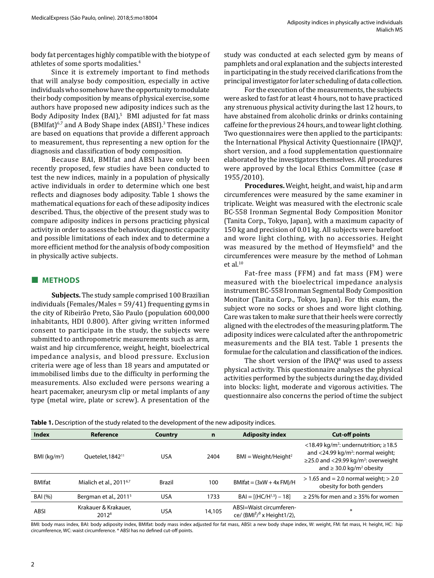body fat percentages highly compatible with the biotype of athletes of some sports modalities.4

Since it is extremely important to find methods that will analyse body composition, especially in active individuals who somehow have the opportunity to modulate their body composition by means of physical exercise, some authors have proposed new adiposity indices such as the Body Adiposity Index (BAI),<sup>5</sup> BMI adjusted for fat mass (BMIfat)6,7 and A Body Shape index (ABSI).3 These indices are based on equations that provide a different approach to measurement, thus representing a new option for the diagnosis and classification of body composition.

Because BAI, BMIfat and ABSI have only been recently proposed, few studies have been conducted to test the new indices, mainly in a population of physically active individuals in order to determine which one best reflects and diagnoses body adiposity. Table 1 shows the mathematical equations for each of these adiposity indices described. Thus, the objective of the present study was to compare adiposity indices in persons practicing physical activity in order to assess the behaviour, diagnostic capacity and possible limitations of each index and to determine a more efficient method for the analysis of body composition in physically active subjects.

## **■ METHODS**

**Subjects.** The study sample comprised 100 Brazilian individuals (Females/Males = 59/41) frequenting gyms in the city of Ribeirão Preto, São Paulo (population 600,000 inhabitants, HDI 0.800). After giving written informed consent to participate in the study, the subjects were submitted to anthropometric measurements such as arm, waist and hip circumference, weight, height, bioelectrical impedance analysis, and blood pressure. Exclusion criteria were age of less than 18 years and amputated or immobilised limbs due to the difficulty in performing the measurements. Also excluded were persons wearing a heart pacemaker, aneurysm clip or metal implants of any type (metal wire, plate or screw). A presentation of the study was conducted at each selected gym by means of pamphlets and oral explanation and the subjects interested in participating in the study received clarifications from the principal investigator for later scheduling of data collection.

For the execution of the measurements, the subjects were asked to fast for at least 4 hours, not to have practiced any strenuous physical activity during the last 12 hours, to have abstained from alcoholic drinks or drinks containing caffeine for the previous 24 hours, and to wear light clothing. Two questionnaires were then applied to the participants: the International Physical Activity Questionnaire (IPAQ)<sup>8</sup>, short version, and a food supplementation questionnaire elaborated by the investigators themselves. All procedures were approved by the local Ethics Committee (case # 1955/2010).

**Procedures.** Weight, height, and waist, hip and arm circumferences were measured by the same examiner in triplicate. Weight was measured with the electronic scale BC-558 Ironman Segmental Body Composition Monitor (Tanita Corp., Tokyo, Japan), with a maximum capacity of 150 kg and precision of 0.01 kg. All subjects were barefoot and wore light clothing, with no accessories. Height was measured by the method of Heymsfield<sup>9</sup> and the circumferences were measure by the method of Lohman et al. $10$ 

Fat-free mass (FFM) and fat mass (FM) were measured with the bioelectrical impedance analysis instrument BC-558 Ironman Segmental Body Composition Monitor (Tanita Corp., Tokyo, Japan). For this exam, the subject wore no socks or shoes and wore light clothing. Care was taken to make sure that their heels were correctly aligned with the electrodes of the measuring platform. The adiposity indices were calculated after the anthropometric measurements and the BIA test. Table 1 presents the formulae for the calculation and classification of the indices.

The short version of the IPAQ $8$  was used to assess physical activity. This questionnaire analyses the physical activities performed by the subjects during the day, divided into blocks: light, moderate and vigorous activities. The questionnaire also concerns the period of time the subject

| <b>Index</b>             | Reference                                 | Country       | $\mathbf n$ | <b>Adiposity index</b>                                  | <b>Cut-off points</b>                                                                                                                                                                                            |
|--------------------------|-------------------------------------------|---------------|-------------|---------------------------------------------------------|------------------------------------------------------------------------------------------------------------------------------------------------------------------------------------------------------------------|
| BMI (kg/m <sup>2</sup> ) | Quetelet, 1842 <sup>11</sup>              | USA           | 2404        | $BMI = Weight/Height2$                                  | <18.49 kg/m <sup>2</sup> : undernutrition; $\geq$ 18.5<br>and $<$ 24.99 kg/m <sup>2</sup> : normal weight;<br>$\geq$ 25.0 and <29.99 kg/m <sup>2</sup> : overweight<br>and $\geq$ 30.0 kg/m <sup>2</sup> obesity |
| <b>BMIfat</b>            | Mialich et al., 2011 <sup>6,7</sup>       | <b>Brazil</b> | 100         | $BMlfat = (3xW + 4x FM)/H$                              | $> 1.65$ and = 2.0 normal weight; $> 2.0$<br>obesity for both genders                                                                                                                                            |
| <b>BAI</b> (%)           | Bergman et al., 2011 <sup>5</sup>         | USA           | 1733        | $BAI = [(HC/H^{1.5}) - 18]$                             | $\geq$ 25% for men and $\geq$ 35% for women                                                                                                                                                                      |
| ABSI                     | Krakauer & Krakauer,<br>2012 <sup>8</sup> | USA           | 14,105      | ABSI=Waist circumferen-<br>ce/ $(BMI2/3$ x Height 1/2), | ∗                                                                                                                                                                                                                |

**Table 1.** Description of the study related to the development of the new adiposity indices.

BMI: body mass index, BAI: body adiposity index, BMIfat: body mass index adjusted for fat mass, ABSI: a new body shape index, W: weight, FM: fat mass, H: height, HC: hip circumference, WC: waist circumference. \* ABSI has no defined cut-off points.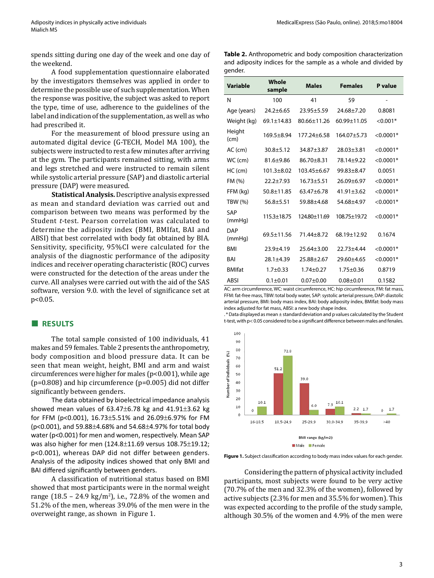Adiposity indices in physically active individuals MedicalExpress (São Paulo, online). 2018;5:mo18004

spends sitting during one day of the week and one day of the weekend.

A food supplementation questionnaire elaborated by the investigators themselves was applied in order to determine the possible use of such supplementation. When the response was positive, the subject was asked to report the type, time of use, adherence to the guidelines of the label and indication of the supplementation, as well as who had prescribed it.

For the measurement of blood pressure using an automated digital device (G-TECH, Model MA 100), the subjects were instructed to rest a few minutes after arriving at the gym. The participants remained sitting, with arms and legs stretched and were instructed to remain silent while systolic arterial pressure (SAP) and diastolic arterial pressure (DAP) were measured.

**Statistical Analysis.** Descriptive analysis expressed as mean and standard deviation was carried out and comparison between two means was performed by the Student *t-*test. Pearson correlation was calculated to determine the adiposity index (BMI, BMIfat, BAI and ABSI) that best correlated with body fat obtained by BIA. Sensitivity, specificity, 95%CI were calculated for the analysis of the diagnostic performance of the adiposity indices and receiver operating characteristic (ROC) curves were constructed for the detection of the areas under the curve. All analyses were carried out with the aid of the SAS software, version 9.0. with the level of significance set at p<0.05.

### **■ RESULTS**

The total sample consisted of 100 individuals, 41 makes and 59 females. Table 2 presents the anthropometry, body composition and blood pressure data. It can be seen that mean weight, height, BMI and arm and waist circumferences were higher for males (p<0.001), while age  $(p=0.808)$  and hip circumference  $(p=0.005)$  did not differ significantly between genders.

The data obtained by bioelectrical impedance analysis showed mean values of 63.47±6.78 kg and 41.91±3.62 kg for FFM (p<0.001), 16.73±5.51% and 26.09±6.97% for FM (p<0.001), and 59.88±4.68% and 54.68±4.97% for total body water (p<0.001) for men and women, respectively. Mean SAP was also higher for men (124.8±11.69 versus 108.75±19.12; p<0.001), whereas DAP did not differ between genders. Analysis of the adiposity indices showed that only BMI and BAI differed significantly between genders.

A classification of nutritional status based on BMI showed that most participants were in the normal weight range (18.5 – 24.9 kg/m<sup>2</sup>), i.e., 72.8% of the women and 51.2% of the men, whereas 39.0% of the men were in the overweight range, as shown in Figure 1.

**Table 2.** Anthropometric and body composition characterization and adiposity indices for the sample as a whole and divided by gender.

| <b>Variable</b>      | Whole<br>sample  | <b>Males</b>      | <b>Females</b>    | P value     |
|----------------------|------------------|-------------------|-------------------|-------------|
| N                    | 100              | 41                | 59                |             |
| Age (years)          | $24.2 + 6.65$    | $23.95 + 5.59$    | $74.68 + 7.20$    | 0.8081      |
| Weight (kg)          | $69.1 \pm 14.83$ | $80.66 \pm 11.26$ | $60.99 \pm 11.05$ | $< 0.001*$  |
| Height<br>(cm)       | $169.5 + 8.94$   | 177.24±6.58       | 164.07±5.73       | $< 0.0001*$ |
| $AC$ (cm)            | $30.8 + 5.12$    | $34.87 + 3.87$    | 28.03±3.81        | $< 0.0001*$ |
| WC (cm)              | $81.6 + 9.86$    | $86.70 + 8.31$    | 78.14±9.22        | $< 0.0001*$ |
| $HC$ (cm)            | $101.3 + 8.02$   | 103.45±6.67       | $99.83 \pm 8.47$  | 0.0051      |
| FM (%)               | $22.2 + 7.93$    | $16.73 + 5.51$    | $26.09 + 6.97$    | $< 0.0001*$ |
| FFM (kg)             | $50.8 + 11.85$   | $63.47 + 6.78$    | $41.91 \pm 3.62$  | $< 0.0001*$ |
| <b>TBW (%)</b>       | $56.8 + 5.51$    | 59.88+4.68        | 54.68+4.97        | $< 0.0001*$ |
| SAP<br>(mmHg)        | $115.3 + 18.75$  | 124.80±11.69      | 108.75±19.72      | $< 0.0001*$ |
| <b>DAP</b><br>(mmHq) | $69.5 \pm 11.56$ | 71.44+8.72        | 68.19±12.92       | 0.1674      |
| <b>BMI</b>           | $23.9 + 4.19$    | $25.64 \pm 3.00$  | $22.73 + 4.44$    | $< 0.0001*$ |
| <b>BAI</b>           | $28.1 + 4.39$    | $25.88 + 2.67$    | 29.60±4.65        | $< 0.0001*$ |
| <b>BMIfat</b>        | $1.7 + 0.33$     | $1.74 + 0.27$     | $1.75 \pm 0.36$   | 0.8719      |
| ABSI                 | $0.1 + 0.01$     | $0.07 + 0.00$     | $0.08 + 0.01$     | 0.1582      |

AC: arm circumference, WC: waist circumference, HC: hip circumference, FM: fat mass, FFM: fat-free mass, TBW: total body water, SAP: systolic arterial pressure, DAP: diastolic arterial pressure, BMI: body mass index, BAI: body adiposity índex, BMIfat: body mass index adjusted for fat mass, ABSI: a new body shape índex.

. \* Data displayed as mean ± standard deviation and p values calculated by the Student t-test, with p< 0.05 considered to be a significant difference between males and fenales.



**Figure 1.** Subject classification according to body mass index values for each gender.

Considering the pattern of physical activity included participants, most subjects were found to be very active (70.7% of the men and 32.3% of the women), followed by active subjects (2.3% for men and 35.5% for women). This was expected according to the profile of the study sample, although 30.5% of the women and 4.9% of the men were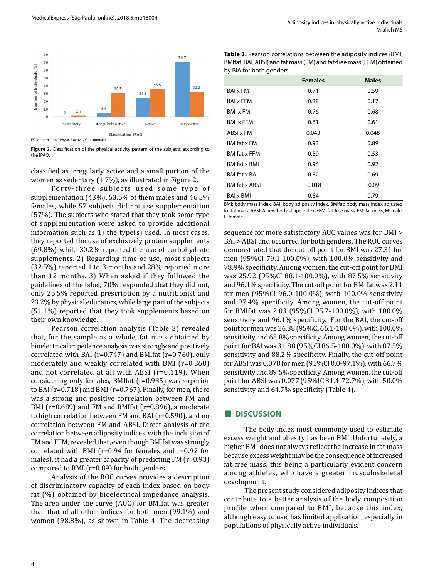

**Figure 2.** Classification of the physical activity pattern of the subjects according to the IPAQ.

classified as irregularly active and a small portion of the women as sedentary (1.7%), as illustrated in Figure 2.

Forty-three subjects used some type of supplementation (43%), 53.5% of them males and 46.5% females, while 57 subjects did not use supplementation (57%). The subjects who stated that they took some type of supplementation were asked to provide additional information such as 1) the type(s) used. In most cases, they reported the use of exclusively protein supplements (69.8%) while 30.2% reported the use of carbohydrate supplements. 2) Regarding time of use, most subjects (32.5%) reported 1 to 3 months and 28% reported more than 12 months. 3) When asked if they followed the guidelines of the label, 70% responded that they did not, only 25.5% reported prescription by a nutritionist and 23.2% by physical educators, while large part of the subjects (51.1%) reported that they took supplements based on their own knowledge.

Pearson correlation analysis (Table 3) revealed that, for the sample as a whole, fat mass obtained by bioelectrical impedance analysis was strongly and positively correlated with BAI (r=0.747) and BMIfat (r=0.760), only moderately and weakly correlated with BMI (r=0.368) and not correlated at all with ABSI (r=0.119). When considering only females, BMIfat (r=0.935) was superior to BAI (r=0.718) and BMI (r=0.767). Finally, for men, there was a strong and positive correlation between FM and BMI (r=0.689) and FM and BMIfat (r=0.896), a moderate to high correlation between FM and BAI (r=0.590), and no correlation between FM and ABSI. Direct analysis of the correlation between adiposity indices, with the inclusion of FM and FFM, revealed that, even though BMIfat was strongly correlated with BMI (r=0.94 for females and r=0.92 for males), it had a greater capacity of predicting FM (r=0.93) compared to BMI (r=0.89) for both genders.

Analysis of the ROC curves provides a description of discriminatory capacity of each index based on body fat (%) obtained by bioelectrical impedance analysis. The area under the curve (AUC) for BMIfat was greater than that of all other indices for both men (99.1%) and women (98.8%), as shown in Table 4. The decreasing

| <b>Table 3.</b> Pearson correlations between the adiposity indices (BMI, |
|--------------------------------------------------------------------------|
| BMIfat, BAI, ABSI) and fat mass (FM) and fat-free mass (FFM) obtained    |
| by BIA for both genders.                                                 |

|                         | <b>Females</b> | <b>Males</b> |
|-------------------------|----------------|--------------|
| <b>BAI</b> x FM         | 0.71           | 0.59         |
| <b>BAI x FFM</b>        | 0.38           | 0.17         |
| <b>BMI x FM</b>         | 0.76           | 0.68         |
| <b>BMI x FFM</b>        | 0.61           | 0.61         |
| ABSI x FM               | 0.043          | 0.048        |
| <b>BMIfat x FM</b>      | 0.93           | 0.89         |
| <b>BMIfat x FFM</b>     | 0.59           | 0.53         |
| <b>BMIfat x BMI</b>     | 0.94           | 0.92         |
| <b>BMIfat x BAI</b>     | 0.82           | 0.69         |
| <b>BMIfat x ABSI</b>    | $-0.018$       | $-0.09$      |
| <b>BAI</b> x <b>BMI</b> | 0.84           | 0.79         |

BMI: body mass index, BAI: body adiposity index, BMIfat: body mass index adjusted for fat mass, ABSI: A new body shape index, FFM: fat-free mass, FM: fat mass, M: male, F: female.

sequence for more satisfactory AUC values was for BMI > BAI > ABSI and occurred for both genders. The ROC curves demonstrated that the cut-off point for BMI was 27.31 for men (95%CI 79.1-100.0%), with 100.0% sensitivity and 78.9% specificity. Among women, the cut-off point for BMI was 25.92 (95%CI 88.1-100.0%), with 87.5% sensitivity and 96.1% specificity. The cut-off point for BMIfat was 2.11 for men (95%CI 96.0-100.0%), with 100.0% sensitivity and 97.4% specificity. Among women, the cut-off point for BMIfat was 2.03 (95%CI 95.7-100.0%), with 100.0% sensitivity and 96.1% specificity. For the BAI, the cut-off point for men was 26.38 (95%CI 66.1-100.0%), with 100.0% sensitivity and 65.8% specificity. Among women, the cut-off point for BAI was 31.88 (95%CI 86.5-100.0%), with 87.5% sensitivity and 88.2% specificity. Finally, the cut-off point for ABSI was 0.078 for men (95%CI 0.0-97.1%), with 66.7% sensitivity and 89.5% specificity. Among women, the cut-off point for ABSI was 0.077 (95%IC 31.4-72.7%), with 50.0% sensitivity and 64.7% specificity (Table 4).

#### **■ DISCUSSION**

The body index most commonly used to estimate excess weight and obesity has been BMI. Unfortunately, a higher BMI does not always reflect the increase in fat mass because excess weight may be the consequence of increased fat free mass, this being a particularly evident concern among athletes, who have a greater musculoskeletal development.

The present study considered adiposity indices that contribute to a better analysis of the body composition profile when compared to BMI, because this index, although easy to use, has limited application, especially in populations of physically active individuals.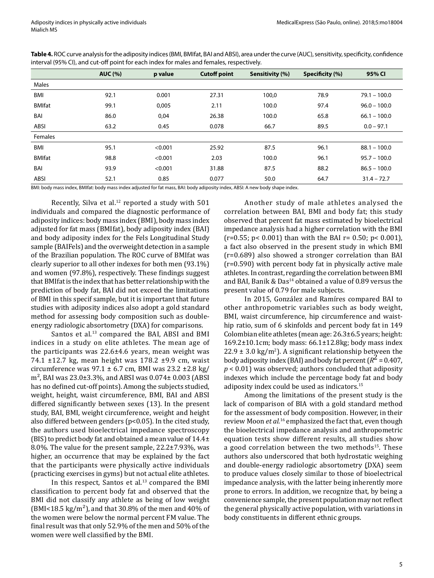|               | <b>AUC (%)</b> | p value | <b>Cutoff point</b> | Sensitivity (%) | Specificity (%) | 95% CI         |
|---------------|----------------|---------|---------------------|-----------------|-----------------|----------------|
| Males         |                |         |                     |                 |                 |                |
| BMI           | 92.1           | 0.001   | 27.31               | 100,0           | 78.9            | $79.1 - 100.0$ |
| <b>BMIfat</b> | 99.1           | 0,005   | 2.11                | 100.0           | 97.4            | $96.0 - 100.0$ |
| BAI           | 86.0           | 0,04    | 26.38               | 100.0           | 65.8            | $66.1 - 100.0$ |
| ABSI          | 63.2           | 0.45    | 0.078               | 66.7            | 89.5            | $0.0 - 97.1$   |
| Females       |                |         |                     |                 |                 |                |
| BMI           | 95.1           | < 0.001 | 25.92               | 87.5            | 96.1            | $88.1 - 100.0$ |
| <b>BMIfat</b> | 98.8           | < 0.001 | 2.03                | 100.0           | 96.1            | $95.7 - 100.0$ |
| BAI           | 93.9           | < 0.001 | 31.88               | 87.5            | 88.2            | $86.5 - 100.0$ |
| ABSI          | 52.1           | 0.85    | 0.077               | 50.0            | 64.7            | $31.4 - 72.7$  |

**Table 4.** ROC curve analysis for the adiposity indices (BMI, BMIfat, BAI and ABSI), area under the curve (AUC), sensitivity, specificity, confidence interval (95% CI), and cut-off point for each index for males and females, respectively.

BMI: body mass index, BMIfat: body mass index adjusted for fat mass, BAI: body adiposity index, ABSI: A new body shape index.

Recently, Silva et al. $12$  reported a study with 501 individuals and compared the diagnostic performance of adiposity indices: body mass index (BMI), body mass index adjusted for fat mass (BMIfat), body adiposity index (BAI) and body adiposity index for the Fels Longitudinal Study sample (BAIFels) and the overweight detection in a sample of the Brazilian population. The ROC curve of BMIfat was clearly superior to all other indexes for both men (93.1%) and women (97.8%), respectively. These findings suggest that BMIfat is the index that has better relationship with the prediction of body fat, BAI did not exceed the limitations of BMI in this specif sample, but it is important that future studies with adiposity indices also adopt a gold standard method for assessing body composition such as doubleenergy radiologic absortometry (DXA) for comparisons.

Santos et al.<sup>13</sup> compared the BAI, ABSI and BMI indices in a study on elite athletes. The mean age of the participants was 22.6±4.6 years, mean weight was 74.1 ±12.7 kg, mean height was 178.2 ±9.9 cm, waist circumference was  $97.1 \pm 6.7$  cm, BMI was  $23.2 \pm 2.8$  kg/  $m<sup>2</sup>$ , BAI was 23.0 $\pm$ 3.3%, and ABSI was 0.074 $\pm$  0.003 (ABSI has no defined cut-off points). Among the subjects studied, weight, height, waist circumference, BMI, BAI and ABSI differed significantly between sexes (13). In the present study, BAI, BMI, weight circumference, weight and height also differed between genders (p<0.05). In the cited study, the authors used bioelectrical impedance spectroscopy (BIS) to predict body fat and obtained a mean value of  $14.4\pm$ 8.0%. The value for the present sample, 22.2±7.93%, was higher, an occurrence that may be explained by the fact that the participants were physically active individuals (practicing exercises in gyms) but not actual elite athletes.

In this respect, Santos et al.<sup>13</sup> compared the BMI classification to percent body fat and observed that the BMI did not classify any athlete as being of low weight (BMI<18.5 kg/m<sup>2</sup>), and that 30.8% of the men and 40% of the women were below the normal percent FM value. The final result was that only 52.9% of the men and 50% of the women were well classified by the BMI.

Another study of male athletes analysed the correlation between BAI, BMI and body fat; this study observed that percent fat mass estimated by bioelectrical impedance analysis had a higher correlation with the BMI  $(r=0.55; p< 0.001)$  than with the BAI r= 0.50; p< 0.001), a fact also observed in the present study in which BMI (r=0.689) also showed a stronger correlation than BAI (r=0.590) with percent body fat in physically active male athletes. In contrast, regarding the correlation between BMI and BAI, Banik & Das<sup>14</sup> obtained a value of 0.89 versus the present value of 0.79 for male subjects.

In 2015, González and Ramíres compared BAI to other anthropometric variables such as body weight, BMI, waist circumference, hip circumference and waisthip ratio, sum of 6 skinfolds and percent body fat in 149 Colombian elite athletes (mean age: 26.3±6.5 years; height: 169.2±10.1cm; body mass: 66.1±12.8kg; body mass index 22.9  $\pm$  3.0 kg/m<sup>2</sup>). A significant relationship between the body adiposity index (BAI) and body fat percent  $(R^2 = 0.407$ , *p* < 0.01) was observed; authors concluded that adiposity indexes which include the percentage body fat and body adiposity index could be used as indicators.15

Among the limitations of the present study is the lack of comparison of BIA with a gold standard method for the assessment of body composition. However, in their review Moon *et al.*16 emphasized the fact that, even though the bioelectrical impedance analysis and anthropometric equation tests show different results, all studies show a good correlation between the two methods $15$ . These authors also underscored that both hydrostatic weighing and double-energy radiologic absortometry (DXA) seem to produce values closely similar to those of bioelectrical impedance analysis, with the latter being inherently more prone to errors. In addition, we recognize that, by being a convenience sample, the present population may not reflect the general physically active population, with variations in body constituents in different ethnic groups.